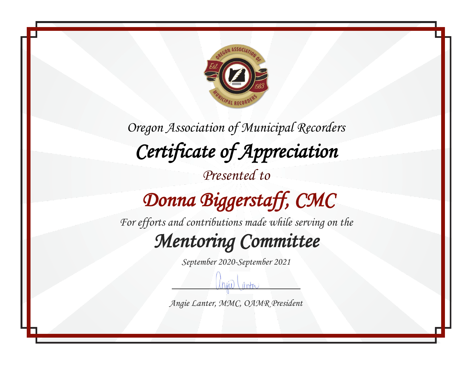

# *Donna Biggerstaff, CMC*

*For efforts and contributions made while serving on the*

#### *Mentoring Committee*

*September 2020-September 2021*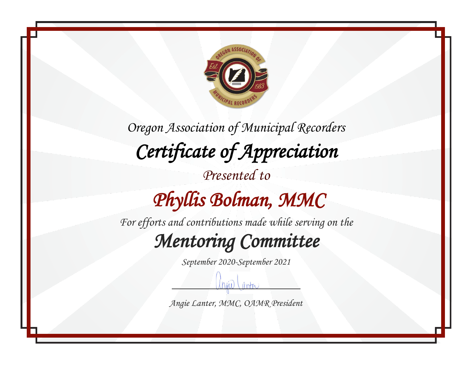

*Oregon Association of Municipal Recorders Certificate of Appreciation Presented to Phyllis Bolman, MMC* 

*For efforts and contributions made while serving on the*

*Mentoring Committee* 

*September 2020-September 2021*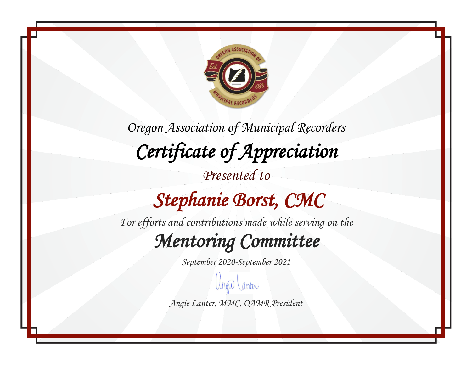

*Oregon Association of Municipal Recorders Certificate of Appreciation Presented to Stephanie Borst, CMC* 

*For efforts and contributions made while serving on the*

*Mentoring Committee* 

*September 2020-September 2021*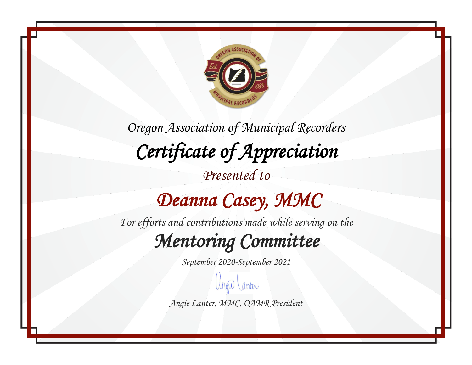

#### *Deanna Casey, MMC*

*For efforts and contributions made while serving on the*

#### *Mentoring Committee*

*September 2020-September 2021*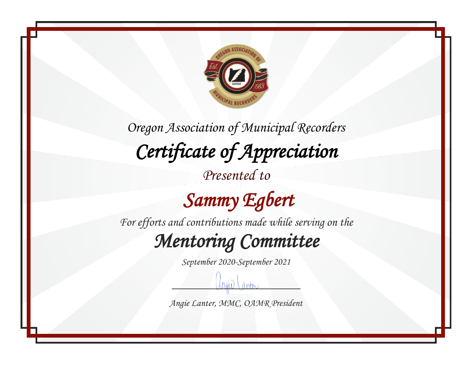

*Presented to*

 *Sammy Egbert* 

*For efforts and contributions made while serving on the*

*Mentoring Committee* 

*September 2020-September 2021*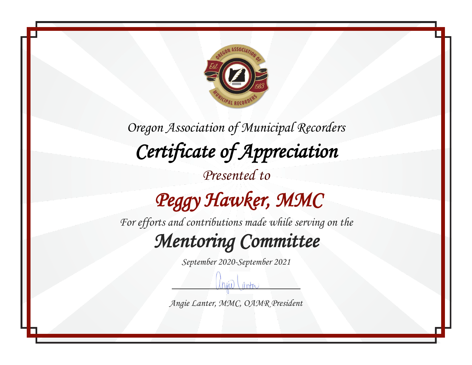

# *Peggy Hawker, MMC*

*For efforts and contributions made while serving on the*

#### *Mentoring Committee*

*September 2020-September 2021*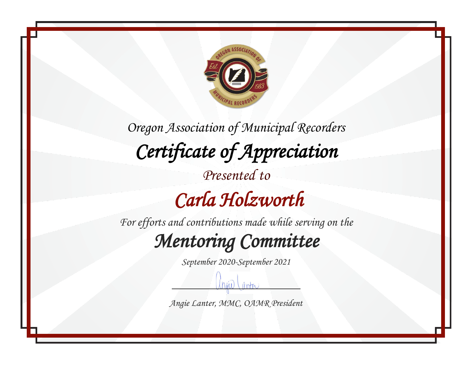

### *Carla Holzworth*

*For efforts and contributions made while serving on the*

*Mentoring Committee* 

*September 2020-September 2021*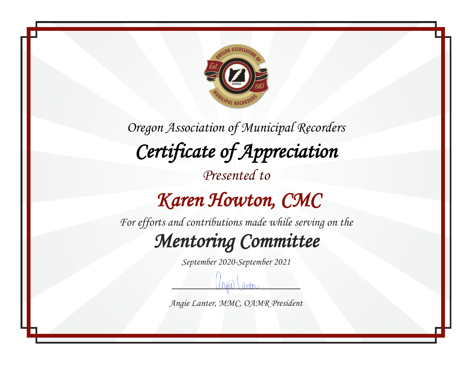

#### *Karen Howton, CMC*

*For efforts and contributions made while serving on the*

*Mentoring Committee* 

*September 2020-September 2021*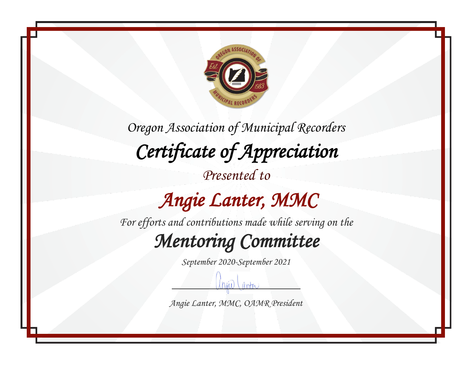

*Presented to*

### *Angie Lanter, MMC*

*For efforts and contributions made while serving on the*

*Mentoring Committee* 

*September 2020-September 2021*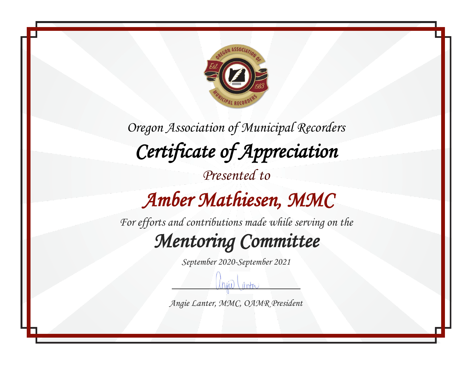

*Oregon Association of Municipal Recorders Certificate of Appreciation Presented to Amber Mathiesen, MMC* 

*For efforts and contributions made while serving on the*

*Mentoring Committee* 

*September 2020-September 2021*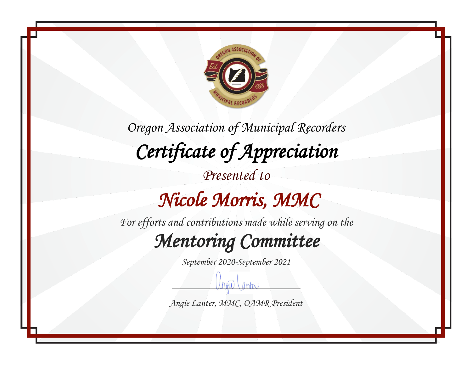

 *Nicole Morris, MMC* 

*For efforts and contributions made while serving on the*

*Mentoring Committee* 

*September 2020-September 2021*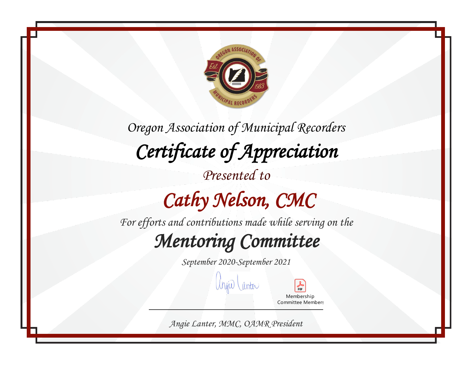

*Oregon Association of Municipal Recorders Certificate of Appreciation Presented to Cathy Nelson, CMC For efforts and contributions made while serving on the*

## *Mentoring Committee*

*September 2020-September 2021*

angio Lanta

Membership Committee Members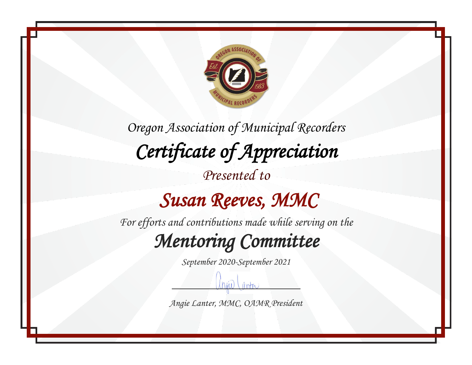

#### *Susan Reeves, MMC*

*For efforts and contributions made while serving on the*

*Mentoring Committee* 

*September 2020-September 2021*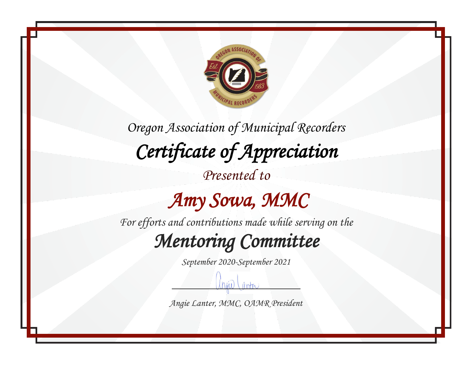

*Presented to*

#### *Amy Sowa, MMC*

*For efforts and contributions made while serving on the*

*Mentoring Committee* 

*September 2020-September 2021*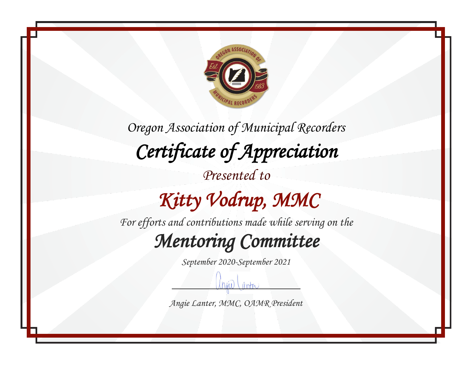

## *Kitty Vodrup, MMC*

*For efforts and contributions made while serving on the*

*Mentoring Committee* 

*September 2020-September 2021*